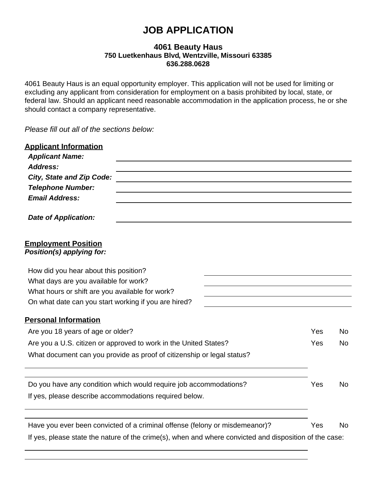# **JOB APPLICATION**

# **4061 Beauty Haus 750 Luetkenhaus Blvd, Wentzville, Missouri 63385 636.288.0628**

4061 Beauty Haus is an equal opportunity employer. This application will not be used for limiting or excluding any applicant from consideration for employment on a basis prohibited by local, state, or federal law. Should an applicant need reasonable accommodation in the application process, he or she should contact a company representative.

*Please fill out all of the sections below:*

| <b>Applicant Information</b><br><b>Applicant Name:</b>  |                                                                                                        |     |           |
|---------------------------------------------------------|--------------------------------------------------------------------------------------------------------|-----|-----------|
| Address:                                                |                                                                                                        |     |           |
| <b>City, State and Zip Code:</b>                        |                                                                                                        |     |           |
| <b>Telephone Number:</b>                                |                                                                                                        |     |           |
| <b>Email Address:</b>                                   |                                                                                                        |     |           |
| <b>Date of Application:</b>                             |                                                                                                        |     |           |
| <b>Employment Position</b><br>Position(s) applying for: |                                                                                                        |     |           |
| How did you hear about this position?                   |                                                                                                        |     |           |
| What days are you available for work?                   |                                                                                                        |     |           |
| What hours or shift are you available for work?         |                                                                                                        |     |           |
| On what date can you start working if you are hired?    |                                                                                                        |     |           |
| <b>Personal Information</b>                             |                                                                                                        |     |           |
| Are you 18 years of age or older?                       |                                                                                                        | Yes | <b>No</b> |
|                                                         | Are you a U.S. citizen or approved to work in the United States?                                       | Yes | No.       |
|                                                         | What document can you provide as proof of citizenship or legal status?                                 |     |           |
|                                                         | Do you have any condition which would require job accommodations?                                      | Yes | No.       |
| If yes, please describe accommodations required below.  |                                                                                                        |     |           |
|                                                         |                                                                                                        |     |           |
|                                                         | Have you ever been convicted of a criminal offense (felony or misdemeanor)?                            | Yes | No.       |
|                                                         | If yes, please state the nature of the crime(s), when and where convicted and disposition of the case: |     |           |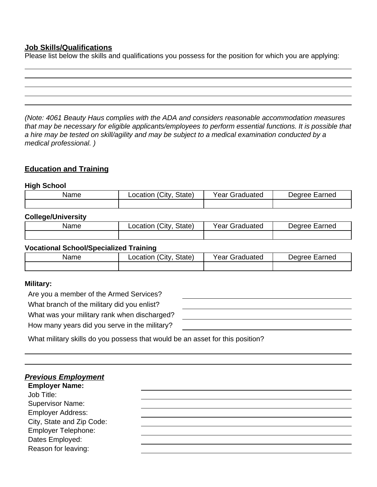# **Job Skills/Qualifications**

Please list below the skills and qualifications you possess for the position for which you are applying:

*(Note: 4061 Beauty Haus complies with the ADA and considers reasonable accommodation measures that may be necessary for eligible applicants/employees to perform essential functions. It is possible that a hire may be tested on skill/agility and may be subject to a medical examination conducted by a medical professional. )*

# **Education and Training**

#### **High School**

| Name | City.<br>State)<br>.ocation | Year<br>Graduated | Dearee<br>Earned |
|------|-----------------------------|-------------------|------------------|
|      |                             |                   |                  |

## **College/University**

| Name | City.<br>State)<br>∟ocation | Year Graduated | Earned<br>Dearee : |
|------|-----------------------------|----------------|--------------------|
|      |                             |                |                    |

### **Vocational School/Specialized Training**

| Name | $^{\circ}$ City<br>State,<br>.ocation | Year v<br>Graduated | arned<br>aannar<br>$\sim$ |
|------|---------------------------------------|---------------------|---------------------------|
|      |                                       |                     |                           |

#### **Military:**

Are you a member of the Armed Services?

What branch of the military did you enlist?

What was your military rank when discharged?

How many years did you serve in the military?

What military skills do you possess that would be an asset for this position?

| <b>Previous Employment</b><br><b>Employer Name:</b> |  |  |
|-----------------------------------------------------|--|--|
| Job Title:                                          |  |  |
| <b>Supervisor Name:</b>                             |  |  |
| <b>Employer Address:</b>                            |  |  |
| City, State and Zip Code:                           |  |  |
| Employer Telephone:                                 |  |  |
| Dates Employed:                                     |  |  |
| Reason for leaving:                                 |  |  |